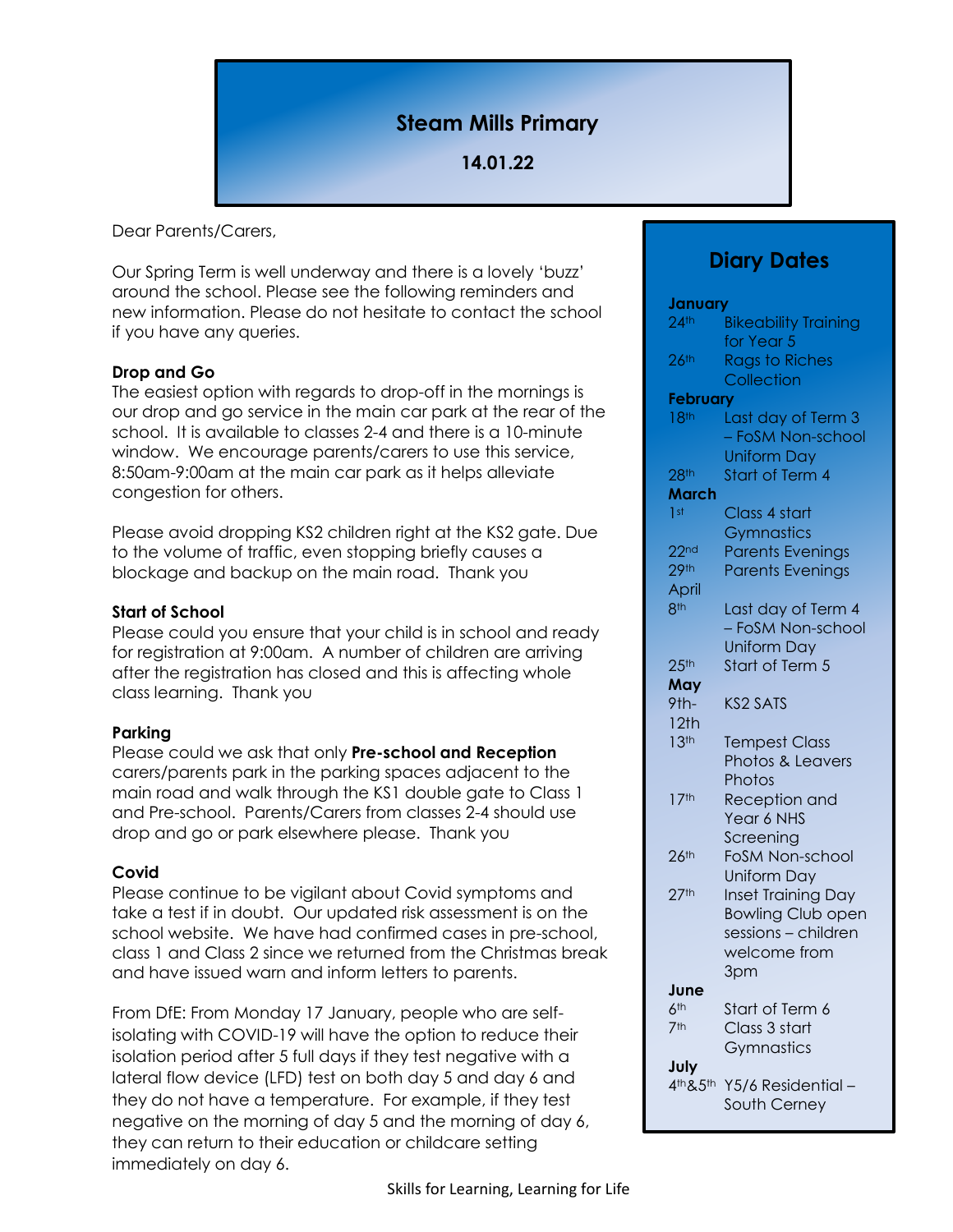# **Steam Mills Primary**

## **14.01.22**

Dear Parents/Carers,

Our Spring Term is well underway and there is a lovely 'buzz' around the school. Please see the following reminders and new information. Please do not hesitate to contact the school if you have any queries.

#### **Drop and Go**

The easiest option with regards to drop-off in the mornings is our drop and go service in the main car park at the rear of the school. It is available to classes 2-4 and there is a 10-minute window. We encourage parents/carers to use this service, 8:50am-9:00am at the main car park as it helps alleviate congestion for others.

Please avoid dropping KS2 children right at the KS2 gate. Due to the volume of traffic, even stopping briefly causes a blockage and backup on the main road. Thank you

#### **Start of School**

Please could you ensure that your child is in school and ready for registration at 9:00am. A number of children are arriving after the registration has closed and this is affecting whole class learning. Thank you

#### **Parking**

Please could we ask that only **Pre-school and Reception** carers/parents park in the parking spaces adjacent to the main road and walk through the KS1 double gate to Class 1 and Pre-school. Parents/Carers from classes 2-4 should use drop and go or park elsewhere please. Thank you

#### **Covid**

Please continue to be vigilant about Covid symptoms and take a test if in doubt. Our updated risk assessment is on the school website. We have had confirmed cases in pre-school, class 1 and Class 2 since we returned from the Christmas break and have issued warn and inform letters to parents.

From DfE: From Monday 17 January, people who are selfisolating with COVID-19 will have the option to reduce their isolation period after 5 full days if they test negative with a lateral flow device (LFD) test on both day 5 and day 6 and they do not have a temperature. For example, if they test negative on the morning of day 5 and the morning of day 6, they can return to their education or childcare setting immediately on day 6.

**January**

**February**

|                  | <b>Uniform Day</b>        |
|------------------|---------------------------|
| 28 <sup>th</sup> | Start of Term 4           |
| March            |                           |
| 1 <sup>st</sup>  | Class 4 start             |
|                  | Gymnastics                |
| 22 <sub>nd</sub> | <b>Parents Evenings</b>   |
| 29 <sup>th</sup> | <b>Parents Evenings</b>   |
| April            |                           |
| 8 <sup>th</sup>  | Last day of Term 4        |
|                  | - FoSM Non-school         |
|                  | <b>Uniform Day</b>        |
| 25 <sup>th</sup> | Start of Term 5           |
| May              |                           |
| 9th-             | <b>KS2 SATS</b>           |
| 12th             |                           |
| 13 <sup>th</sup> | <b>Tempest Class</b>      |
|                  | Photos & Leavers          |
|                  | Photos                    |
| 17 <sup>th</sup> | <b>Reception and</b>      |
|                  | Year 6 NHS                |
|                  | Screening                 |
| 26 <sup>th</sup> | <b>FoSM Non-school</b>    |
|                  | <b>Uniform Day</b>        |
| 27 <sup>th</sup> | <b>Inset Training Day</b> |
|                  | <b>Bowling Club open</b>  |
|                  | sessions - children       |
|                  | welcome from              |
|                  | 3pm                       |
| June             |                           |
| 6 <sup>th</sup>  | Start of Term 6           |
| 7 <sup>th</sup>  | Class 3 start             |
|                  | Gymnastics                |
| July             |                           |
| $4th$ & $5th$    | Y5/6 Residential -        |
|                  | South Cerney              |

**Diary Dates**

24<sup>th</sup> Bikeability Training for Year 5 26<sup>th</sup> Rags to Riches **Collection** 

18<sup>th</sup> Last day of Term 3

– FoSM Non-school

Skills for Learning, Learning for Life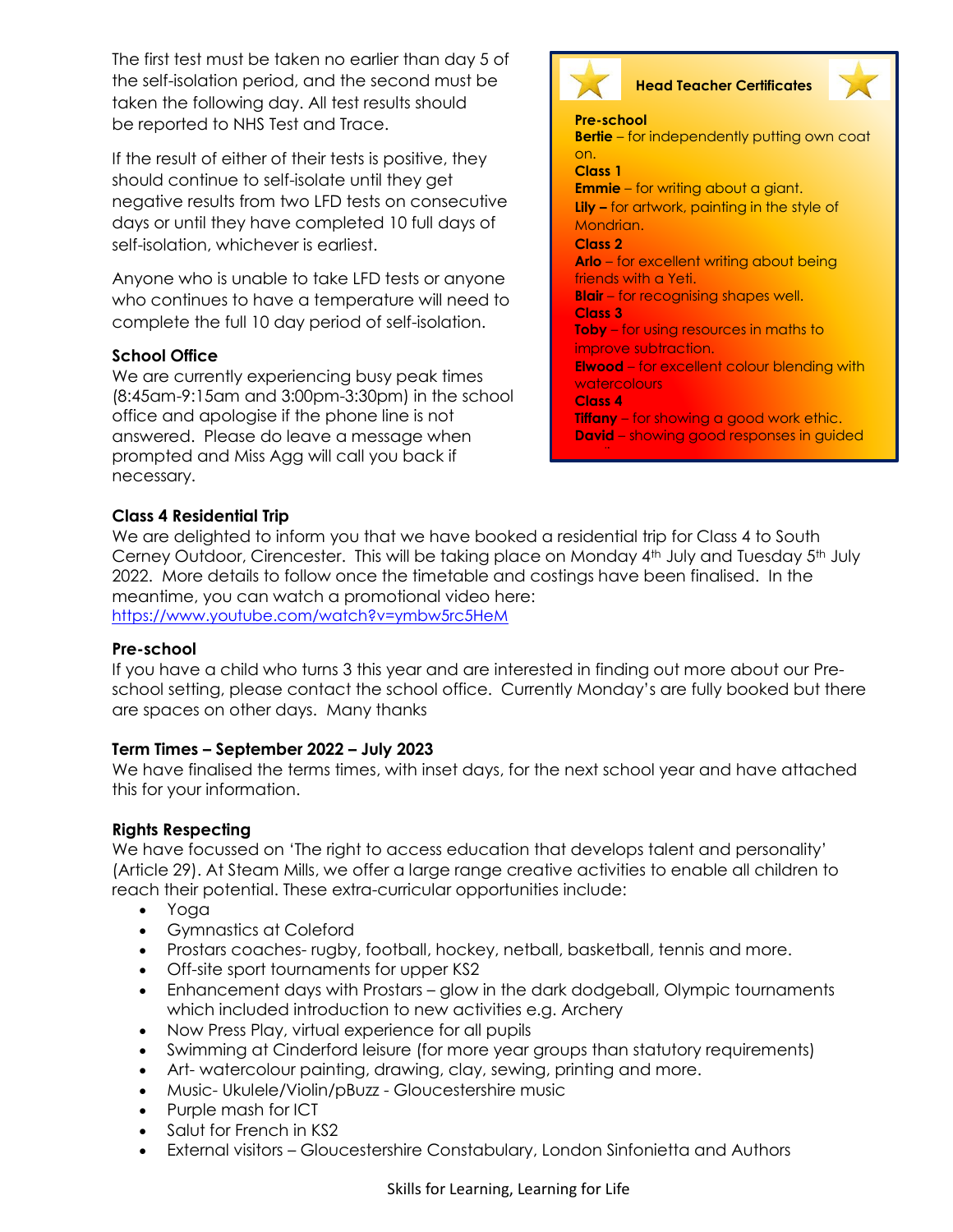The first test must be taken no earlier than day 5 of the self-isolation period, and the second must be taken the following day. All test results should be [reported to NHS Test and Trace.](https://www.gov.uk/report-covid19-result?utm_source=14%20January%202022%20C19&utm_medium=Daily%20Email%20C19&utm_campaign=DfE%20C19)

If the result of either of their tests is positive, they should continue to self-isolate until they get negative results from two LFD tests on consecutive days or until they have completed 10 full days of self-isolation, whichever is earliest.

Anyone who is unable to take LFD tests or anyone who continues to have a temperature will need to complete the full 10 day period of self-isolation.

#### **School Office**

We are currently experiencing busy peak times (8:45am-9:15am and 3:00pm-3:30pm) in the school office and apologise if the phone line is not answered. Please do leave a message when prompted and Miss Agg will call you back if necessary.



# **Head Teacher Certificates**

**Pre-school Bertie** – for independently putting own coat on. **Class 1 Emmie** – for writing about a giant. **Lily –** for artwork, painting in the style of Mondrian. **Class 2 Arlo** – for excellent writing about being friends with a Yeti. **Blair** – for recognising shapes well. **Class 3 Toby** – for using resources in maths to improve subtraction.

**Elwood** – for excellent colour blending with watercolours

**Class 4**

**Tiffany** – for showing a good work ethic. **David** – showing good responses in guided

#### **Class 4 Residential Trip**

We are delighted to inform you that we have booked a residential trip for Class 4 to South Cerney Outdoor, Cirencester. This will be taking place on Monday 4<sup>th</sup> July and Tuesday 5<sup>th</sup> July 2022. More details to follow once the timetable and costings have been finalised. In the meantime, you can watch a promotional video here: <https://www.youtube.com/watch?v=ymbw5rc5HeM>

#### **Pre-school**

If you have a child who turns 3 this year and are interested in finding out more about our Preschool setting, please contact the school office. Currently Monday's are fully booked but there are spaces on other days. Many thanks

#### **Term Times – September 2022 – July 2023**

We have finalised the terms times, with inset days, for the next school year and have attached this for your information.

### **Rights Respecting**

We have focussed on 'The right to access education that develops talent and personality' (Article 29). At Steam Mills, we offer a large range creative activities to enable all children to reach their potential. These extra-curricular opportunities include:

- Yoga
- Gymnastics at Coleford
- Prostars coaches- rugby, football, hockey, netball, basketball, tennis and more.
- Off-site sport tournaments for upper KS2
- Enhancement days with Prostars glow in the dark dodgeball, Olympic tournaments which included introduction to new activities e.g. Archery
- Now Press Play, virtual experience for all pupils
- Swimming at Cinderford leisure (for more year groups than statutory requirements)
- Art- watercolour painting, drawing, clay, sewing, printing and more.
- Music- Ukulele/Violin/pBuzz Gloucestershire music
- Purple mash for ICT
- Salut for French in KS2
- External visitors Gloucestershire Constabulary, London Sinfonietta and Authors